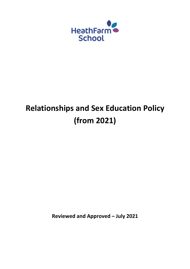

# **Relationships and Sex Education Policy (from 2021)**

**Reviewed and Approved – July 2021**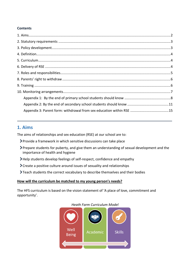#### **Contents**

## <span id="page-1-0"></span>**1. Aims**

The aims of relationships and sex education (RSE) at our school are to:

- Provide a framework in which sensitive discussions can take place
- Prepare students for puberty, and give them an understanding of sexual development and the importance of health and hygiene
- Help students develop feelings of self-respect, confidence and empathy
- Create a positive culture around issues of sexuality and relationships
- Teach students the correct vocabulary to describe themselves and their bodies

#### **How will the curriculum be matched to my young person's needs?**

The HFS curriculum is based on the vision statement of 'A place of love, commitment and opportunity'.



#### *Heath Farm Curriculum Model*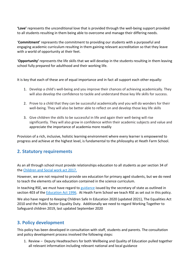**'Love'** represents the unconditional love that is provided through the well-being support provided to all students resulting in them being able to overcome and manage their differing needs.

'**Commitment'** represents the commitment to providing our students with a purposeful and engaging academic curriculum resulting in them gaining relevant accreditation so that they leave with a world of opportunity at their feet.

'**Opportunity'** represents the life skills that we will develop in the students resulting in them leaving school fully prepared for adulthood and their working life.

It is key that each of these are of equal importance and in fact all support each other equally:

- 1. Develop a child's well-being and you improve their chances of achieving academically. They will also develop the confidence to tackle and understand those key life skills for success.
- 2. Prove to a child that they can be successful academically and you will do wonders for their well-being. They will also be better able to reflect on and develop those key life skills
- 3. Give children the skills to be successful in life and again their well-being will rise significantly. They will also grow in confidence within their academic subjects and value and appreciate the importance of academia more readily

Provision of a rich, inclusive, holistic learning environment where every learner is empowered to progress and achieve at the highest level, is fundamental to the philosophy at Heath Farm School.

## <span id="page-2-0"></span>**2. Statutory requirements**

As an all through school must provide relationships education to all students as per section 34 of the [Children and Social work act 2017.](http://www.legislation.gov.uk/ukpga/2017/16/section/34/enacted)

However, we are not required to provide sex education for primary aged students, but we do need to teach the elements of sex education contained in the science curriculum.

In teaching RSE, we must have regard to [guidance](https://www.gov.uk/government/consultations/relationships-and-sex-education-and-health-education) issued by the secretary of state as outlined in section 403 of the [Education Act 1996.](http://www.legislation.gov.uk/ukpga/1996/56/contents) At Heath Farm School we teach RSE as set out in this policy.

We also have regard to Keeping Children Safe In Education 2020 (updated 2021), The Equalities Act 2010 and the Public Sector Equality Duty. Additionally we need to regard Working Together to Safeguard children 2019, last updated September 2020

## <span id="page-2-1"></span>**3. Policy development**

This policy has been developed in consultation with staff, students and parents. The consultation and policy development process involved the following steps:

1. Review – Deputy Headteachers for both Wellbeing and Quality of Education pulled together all relevant information including relevant national and local guidance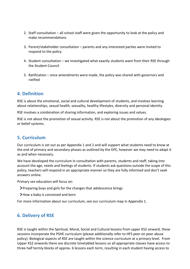- 2. Staff consultation all school staff were given the opportunity to look at the policy and make recommendations
- 3. Parent/stakeholder consultation parents and any interested parties were invited to respond to the policy
- 4. Student consultation we investigated what exactly students want from their RSE through the Student Council
- 5. Ratification once amendments were made, the policy was shared with governors and ratified

## <span id="page-3-0"></span>**4. Definition**

RSE is about the emotional, social and cultural development of students, and involves learning about relationships, sexual health, sexuality, healthy lifestyles, diversity and personal identity.

RSE involves a combination of sharing information, and exploring issues and values.

RSE is not about the promotion of sexual activity. RSE is not about the promotion of any ideologies or belief systems.

## <span id="page-3-1"></span>**5. Curriculum**

Our curriculum is set out as per Appendix 1 and 2 and will support what students need to know at the end of primary and secondary phases as outlined by the DFE, however we may need to adapt it as and when necessary.

We have developed the curriculum in consultation with parents, students and staff, taking into account the age, needs and feelings of students. If students ask questions outside the scope of this policy, teachers will respond in an appropriate manner so they are fully informed and don't seek answers online.

Primary sex education will focus on:

- Preparing boys and girls for the changes that adolescence brings
- How a baby is conceived and born

For more information about our curriculum, see our curriculum map in Appendix 1.

## <span id="page-3-2"></span>**6. Delivery of RSE**

RSE is taught within the Spiritual, Moral, Social and Cultural lessons from upper KS2 onward, these sessions incorporate the PSHE curriculum (please additionally refer to HFS peer on peer abuse policy). Biological aspects of RSE are taught within the science curriculum at a primary level. From Upper KS2 onwards there are discrete timetabled lessons so all appropriate classes have access to three half termly blocks of approx. 6 lessons each term, resulting in each student having access to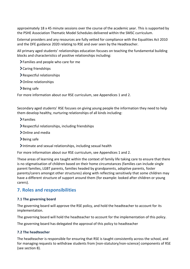approximately 18 x 45 minute sessions over the course of the academic year. This is supported by the PSHE Association Thematic Model Schedules delivered within the SMSC curriculum.

External providers and any resources are fully vetted for compliance with the Equalities Act 2010 and the DFE guidance 2020 relating to RSE and over seen by the Headteacher.

All primary aged students' relationships education focuses on teaching the fundamental building blocks and characteristics of positive relationships including:

- Families and people who care for me
- Caring friendships
- Respectful relationships
- > Online relationships
- >Being safe

For more information about our RSE curriculum, see Appendices 1 and 2.

Secondary aged students' RSE focuses on giving young people the information they need to help them develop healthy, nurturing relationships of all kinds including:

- Families
- Respectful relationships, including friendships
- > Online and media
- >Being safe
- $\blacktriangleright$  Intimate and sexual relationships, including sexual health

For more information about our RSE curriculum, see Appendices 1 and 2.

These areas of learning are taught within the context of family life taking care to ensure that there is no stigmatisation of children based on their home circumstances (families can include single parent families, LGBT parents, families headed by grandparents, adoptive parents, foster parents/carers amongst other structures) along with reflecting sensitively that some children may have a different structure of support around them (for example: looked after children or young carers).

## <span id="page-4-0"></span>**7. Roles and responsibilities**

#### **7.1 The governing board**

The governing board will approve the RSE policy, and hold the headteacher to account for its implementation.

The governing board will hold the headteacher to account for the implementation of this policy.

The governing board has delegated the approval of this policy to headteacher

#### **7.2 The headteacher**

The headteacher is responsible for ensuring that RSE is taught consistently across the school, and for managing requests to withdraw students from [non-statutory/non-science] components of RSE (see section 8).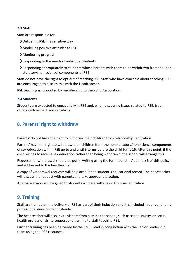#### **7.3 Staff**

Staff are responsible for:

- Delivering RSE in a sensitive way
- Modelling positive attitudes to RSE
- Monitoring progress
- Responding to the needs of individual students
- Responding appropriately to students whose parents wish them to be withdrawn from the [nonstatutory/non-science] components of RSE

Staff do not have the right to opt out of teaching RSE. Staff who have concerns about teaching RSE are encouraged to discuss this with the Headteacher.

RSE teaching is supported by membership to the PSHE Association.

#### **7.4 Students**

Students are expected to engage fully in RSE and, when discussing issues related to RSE, treat others with respect and sensitivity.

## <span id="page-5-0"></span>**8. Parents' right to withdraw**

Parents' do not have the right to withdraw their children from relationships education.

Parents' have the right to withdraw their children from the non-statutory/non-science components of sex education within RSE up to and until 3 terms before the child turns 16. After this point, if the child wishes to receive sex education rather than being withdrawn, the school will arrange this.

Requests for withdrawal should be put in writing using the form found in Appendix 3 of this policy and addressed to the headteacher.

A copy of withdrawal requests will be placed in the student's educational record. The headteacher will discuss the request with parents and take appropriate action.

Alternative work will be given to students who are withdrawn from sex education.

## <span id="page-5-1"></span>**9. Training**

Staff are trained on the delivery of RSE as part of their induction and it is included in our continuing professional development calendar.

The headteacher will also invite visitors from outside the school, such as school nurses or sexual health professionals, to support and training to staff teaching RSE.

Further training has been delivered by the SMSC lead in conjunction with the Senior Leadership team using the DFE resources.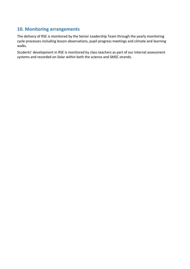## <span id="page-6-0"></span>**10. Monitoring arrangements**

The delivery of RSE is monitored by the Senior Leadership Team through the yearly monitoring cycle processes including lesson observations, pupil progress meetings and climate and learning walks.

Students' development in RSE is monitored by class teachers as part of our internal assessment systems and recorded on Solar within both the science and SMSC strands.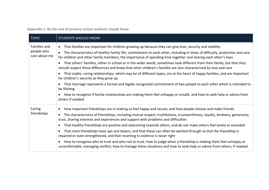**Appendix 1: By the end of primary school students should know**

<span id="page-7-0"></span>

| <b>TOPIC</b>                                | <b>STUDENTS SHOULD KNOW</b>                                                                                                                                                                                                                                                                                                                                                                                                                                                                      |
|---------------------------------------------|--------------------------------------------------------------------------------------------------------------------------------------------------------------------------------------------------------------------------------------------------------------------------------------------------------------------------------------------------------------------------------------------------------------------------------------------------------------------------------------------------|
| Families and<br>people who<br>care about me | That families are important for children growing up because they can give love, security and stability<br>$\bullet$<br>The characteristics of healthy family life, commitment to each other, including in times of difficulty, protection and care<br>for children and other family members, the importance of spending time together and sharing each other's lives<br>That others' families, either in school or in the wider world, sometimes look different from their family, but that they |
|                                             | should respect those differences and know that other children's families are also characterised by love and care<br>That stable, caring relationships, which may be of different types, are at the heart of happy families, and are important<br>$\bullet$<br>for children's security as they grow up                                                                                                                                                                                            |
|                                             | That marriage represents a formal and legally recognised commitment of two people to each other which is intended to<br>be lifelong                                                                                                                                                                                                                                                                                                                                                              |
|                                             | How to recognise if family relationships are making them feel unhappy or unsafe, and how to seek help or advice from<br>others if needed                                                                                                                                                                                                                                                                                                                                                         |
| Caring                                      | How important friendships are in making us feel happy and secure, and how people choose and make friends<br>٠                                                                                                                                                                                                                                                                                                                                                                                    |
| friendships                                 | The characteristics of friendships, including mutual respect, truthfulness, trustworthiness, loyalty, kindness, generosity,<br>trust, sharing interests and experiences and support with problems and difficulties                                                                                                                                                                                                                                                                               |
|                                             | That healthy friendships are positive and welcoming towards others, and do not make others feel lonely or excluded<br>٠                                                                                                                                                                                                                                                                                                                                                                          |
|                                             | That most friendships have ups and downs, and that these can often be worked through so that the friendship is<br>repaired or even strengthened, and that resorting to violence is never right                                                                                                                                                                                                                                                                                                   |
|                                             | How to recognise who to trust and who not to trust, how to judge when a friendship is making them feel unhappy or<br>uncomfortable, managing conflict, how to manage these situations and how to seek help or advice from others, if needed                                                                                                                                                                                                                                                      |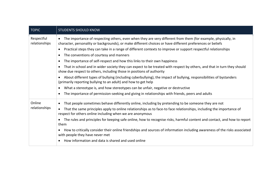| <b>TOPIC</b>                | <b>STUDENTS SHOULD KNOW</b>                                                                                                                                                                                                 |  |  |
|-----------------------------|-----------------------------------------------------------------------------------------------------------------------------------------------------------------------------------------------------------------------------|--|--|
| Respectful<br>relationships | The importance of respecting others, even when they are very different from them (for example, physically, in<br>character, personality or backgrounds), or make different choices or have different preferences or beliefs |  |  |
|                             | Practical steps they can take in a range of different contexts to improve or support respectful relationships                                                                                                               |  |  |
|                             | The conventions of courtesy and manners<br>$\bullet$                                                                                                                                                                        |  |  |
|                             | The importance of self-respect and how this links to their own happiness<br>$\bullet$                                                                                                                                       |  |  |
|                             | That in school and in wider society they can expect to be treated with respect by others, and that in turn they should<br>show due respect to others, including those in positions of authority                             |  |  |
|                             | About different types of bullying (including cyberbullying), the impact of bullying, responsibilities of bystanders<br>(primarily reporting bullying to an adult) and how to get help                                       |  |  |
|                             | What a stereotype is, and how stereotypes can be unfair, negative or destructive<br>$\bullet$                                                                                                                               |  |  |
|                             | The importance of permission-seeking and giving in relationships with friends, peers and adults                                                                                                                             |  |  |
| Online                      | That people sometimes behave differently online, including by pretending to be someone they are not                                                                                                                         |  |  |
| relationships               | That the same principles apply to online relationships as to face-to face relationships, including the importance of<br>respect for others online including when we are anonymous                                           |  |  |
|                             | The rules and principles for keeping safe online, how to recognise risks, harmful content and contact, and how to report<br>$\bullet$<br>them                                                                               |  |  |
|                             | How to critically consider their online friendships and sources of information including awareness of the risks associated<br>with people they have never met                                                               |  |  |
|                             | How information and data is shared and used online                                                                                                                                                                          |  |  |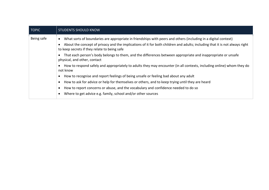| <b>TOPIC</b> | <b>STUDENTS SHOULD KNOW</b>                                                                                                                                                 |  |  |  |
|--------------|-----------------------------------------------------------------------------------------------------------------------------------------------------------------------------|--|--|--|
| Being safe   | What sorts of boundaries are appropriate in friendships with peers and others (including in a digital context)                                                              |  |  |  |
|              | About the concept of privacy and the implications of it for both children and adults; including that it is not always right<br>to keep secrets if they relate to being safe |  |  |  |
|              | That each person's body belongs to them, and the differences between appropriate and inappropriate or unsafe<br>physical, and other, contact                                |  |  |  |
|              | How to respond safely and appropriately to adults they may encounter (in all contexts, including online) whom they do<br>not know                                           |  |  |  |
|              | How to recognise and report feelings of being unsafe or feeling bad about any adult                                                                                         |  |  |  |
|              | How to ask for advice or help for themselves or others, and to keep trying until they are heard                                                                             |  |  |  |
|              | How to report concerns or abuse, and the vocabulary and confidence needed to do so                                                                                          |  |  |  |
|              | Where to get advice e.g. family, school and/or other sources                                                                                                                |  |  |  |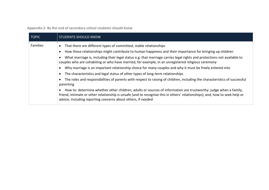**Appendix 2: By the end of secondary school students should know**

<span id="page-10-0"></span>

| <b>TOPIC</b>    | <b>STUDENTS SHOULD KNOW</b>                                                                                                                                                                                                                                                                                                                                                                                                                                                                                                                                                                                                                                                                                                                                                                                                                                                                                                                                                                                                                                                 |  |  |
|-----------------|-----------------------------------------------------------------------------------------------------------------------------------------------------------------------------------------------------------------------------------------------------------------------------------------------------------------------------------------------------------------------------------------------------------------------------------------------------------------------------------------------------------------------------------------------------------------------------------------------------------------------------------------------------------------------------------------------------------------------------------------------------------------------------------------------------------------------------------------------------------------------------------------------------------------------------------------------------------------------------------------------------------------------------------------------------------------------------|--|--|
| <b>Families</b> | That there are different types of committed, stable relationships<br>How these relationships might contribute to human happiness and their importance for bringing up children<br>What marriage is, including their legal status e.g. that marriage carries legal rights and protections not available to<br>couples who are cohabiting or who have married, for example, in an unregistered religious ceremony<br>Why marriage is an important relationship choice for many couples and why it must be freely entered into<br>The characteristics and legal status of other types of long-term relationships<br>The roles and responsibilities of parents with respect to raising of children, including the characteristics of successful<br>parenting<br>How to: determine whether other children, adults or sources of information are trustworthy: judge when a family,<br>friend, intimate or other relationship is unsafe (and to recognise this in others' relationships); and, how to seek help or<br>advice, including reporting concerns about others, if needed |  |  |
|                 |                                                                                                                                                                                                                                                                                                                                                                                                                                                                                                                                                                                                                                                                                                                                                                                                                                                                                                                                                                                                                                                                             |  |  |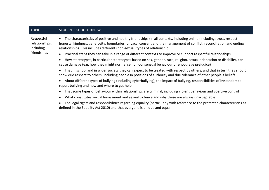| <b>TOPIC</b>                                             | <b>STUDENTS SHOULD KNOW</b>                                                                                                                                                                                                                                                                                                  |  |  |
|----------------------------------------------------------|------------------------------------------------------------------------------------------------------------------------------------------------------------------------------------------------------------------------------------------------------------------------------------------------------------------------------|--|--|
| Respectful<br>relationships,<br>including<br>friendships | The characteristics of positive and healthy friendships (in all contexts, including online) including: trust, respect,<br>honesty, kindness, generosity, boundaries, privacy, consent and the management of conflict, reconciliation and ending<br>relationships. This includes different (non-sexual) types of relationship |  |  |
|                                                          | Practical steps they can take in a range of different contexts to improve or support respectful relationships<br>$\bullet$                                                                                                                                                                                                   |  |  |
|                                                          | How stereotypes, in particular stereotypes based on sex, gender, race, religion, sexual orientation or disability, can<br>cause damage (e.g. how they might normalise non-consensual behaviour or encourage prejudice)                                                                                                       |  |  |
|                                                          | That in school and in wider society they can expect to be treated with respect by others, and that in turn they should<br>show due respect to others, including people in positions of authority and due tolerance of other people's beliefs                                                                                 |  |  |
|                                                          | About different types of bullying (including cyberbullying), the impact of bullying, responsibilities of bystanders to<br>report bullying and how and where to get help                                                                                                                                                      |  |  |
|                                                          | That some types of behaviour within relationships are criminal, including violent behaviour and coercive control                                                                                                                                                                                                             |  |  |
|                                                          | What constitutes sexual harassment and sexual violence and why these are always unacceptable<br>$\bullet$                                                                                                                                                                                                                    |  |  |
|                                                          | The legal rights and responsibilities regarding equality (particularly with reference to the protected characteristics as<br>defined in the Equality Act 2010) and that everyone is unique and equal                                                                                                                         |  |  |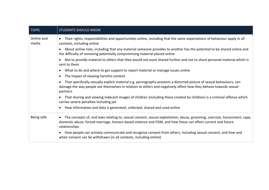| <b>TOPIC</b>        | <b>STUDENTS SHOULD KNOW</b>                                                                                                                                                                                                                                           |  |  |
|---------------------|-----------------------------------------------------------------------------------------------------------------------------------------------------------------------------------------------------------------------------------------------------------------------|--|--|
| Online and<br>media | Their rights, responsibilities and opportunities online, including that the same expectations of behaviour apply in all<br>$\bullet$<br>contexts, including online                                                                                                    |  |  |
|                     | About online risks, including that any material someone provides to another has the potential to be shared online and<br>$\bullet$<br>the difficulty of removing potentially compromising material placed online                                                      |  |  |
|                     | Not to provide material to others that they would not want shared further and not to share personal material which is<br>sent to them                                                                                                                                 |  |  |
|                     | What to do and where to get support to report material or manage issues online<br>$\bullet$                                                                                                                                                                           |  |  |
|                     | The impact of viewing harmful content<br>$\bullet$                                                                                                                                                                                                                    |  |  |
|                     | That specifically sexually explicit material e.g. pornography presents a distorted picture of sexual behaviours, can<br>damage the way people see themselves in relation to others and negatively affect how they behave towards sexual<br>partners                   |  |  |
|                     | That sharing and viewing indecent images of children (including those created by children) is a criminal offence which<br>carries severe penalties including jail                                                                                                     |  |  |
|                     | How information and data is generated, collected, shared and used online<br>$\bullet$                                                                                                                                                                                 |  |  |
| Being safe          | The concepts of, and laws relating to, sexual consent, sexual exploitation, abuse, grooming, coercion, harassment, rape,<br>$\bullet$<br>domestic abuse, forced marriage, honour-based violence and FGM, and how these can affect current and future<br>relationships |  |  |
|                     | How people can actively communicate and recognise consent from others, including sexual consent, and how and<br>when consent can be withdrawn (in all contexts, including online)                                                                                     |  |  |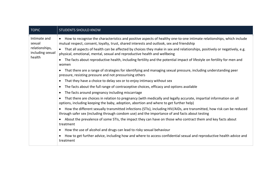| <b>TOPIC</b>                                                           | <b>STUDENTS SHOULD KNOW</b>                                                                                                                                                                                                                                                                                                                                              |  |  |  |
|------------------------------------------------------------------------|--------------------------------------------------------------------------------------------------------------------------------------------------------------------------------------------------------------------------------------------------------------------------------------------------------------------------------------------------------------------------|--|--|--|
| Intimate and<br>sexual<br>relationships,<br>including sexual<br>health | How to recognise the characteristics and positive aspects of healthy one-to-one intimate relationships, which include<br>$\bullet$<br>mutual respect, consent, loyalty, trust, shared interests and outlook, sex and friendship<br>That all aspects of health can be affected by choices they make in sex and relationships, positively or negatively, e.g.<br>$\bullet$ |  |  |  |
|                                                                        | physical, emotional, mental, sexual and reproductive health and wellbeing                                                                                                                                                                                                                                                                                                |  |  |  |
|                                                                        | The facts about reproductive health, including fertility and the potential impact of lifestyle on fertility for men and<br>$\bullet$<br>women                                                                                                                                                                                                                            |  |  |  |
|                                                                        | That there are a range of strategies for identifying and managing sexual pressure, including understanding peer<br>$\bullet$<br>pressure, resisting pressure and not pressurising others                                                                                                                                                                                 |  |  |  |
|                                                                        | That they have a choice to delay sex or to enjoy intimacy without sex<br>$\bullet$                                                                                                                                                                                                                                                                                       |  |  |  |
|                                                                        | The facts about the full range of contraceptive choices, efficacy and options available<br>$\bullet$                                                                                                                                                                                                                                                                     |  |  |  |
|                                                                        | The facts around pregnancy including miscarriage<br>$\bullet$                                                                                                                                                                                                                                                                                                            |  |  |  |
|                                                                        | That there are choices in relation to pregnancy (with medically and legally accurate, impartial information on all<br>$\bullet$<br>options, including keeping the baby, adoption, abortion and where to get further help)                                                                                                                                                |  |  |  |
|                                                                        | How the different sexually transmitted infections (STIs), including HIV/AIDs, are transmitted, how risk can be reduced<br>$\bullet$<br>through safer sex (including through condom use) and the importance of and facts about testing                                                                                                                                    |  |  |  |
|                                                                        | About the prevalence of some STIs, the impact they can have on those who contract them and key facts about<br>$\bullet$<br>treatment                                                                                                                                                                                                                                     |  |  |  |
|                                                                        | How the use of alcohol and drugs can lead to risky sexual behaviour<br>$\bullet$                                                                                                                                                                                                                                                                                         |  |  |  |
|                                                                        | How to get further advice, including how and where to access confidential sexual and reproductive health advice and<br>$\bullet$<br>treatment                                                                                                                                                                                                                            |  |  |  |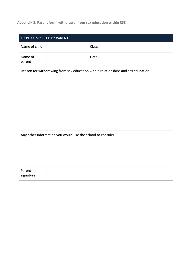#### <span id="page-14-0"></span>**Appendix 3: Parent form: withdrawal from sex education within RSE**

| TO BE COMPLETED BY PARENTS |                                                             |       |                                                                                  |
|----------------------------|-------------------------------------------------------------|-------|----------------------------------------------------------------------------------|
| Name of child              |                                                             | Class |                                                                                  |
| Name of<br>parent          |                                                             | Date  |                                                                                  |
|                            |                                                             |       | Reason for withdrawing from sex education within relationships and sex education |
|                            |                                                             |       |                                                                                  |
|                            | Any other information you would like the school to consider |       |                                                                                  |
|                            |                                                             |       |                                                                                  |
| Parent<br>signature        |                                                             |       |                                                                                  |